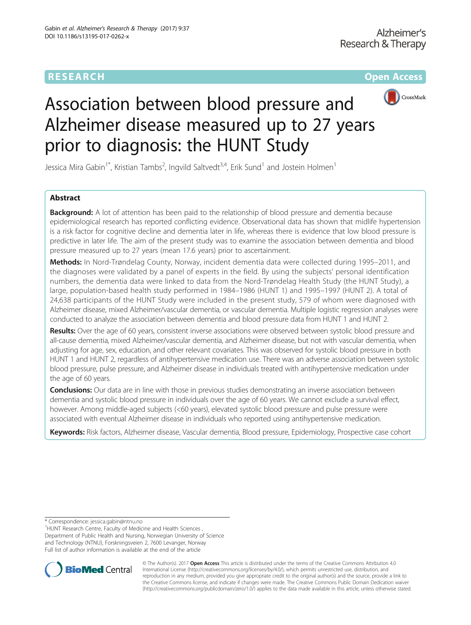# **RESEARCH CHEAR CHEAR CHEAR CHEAR CHEAR CHEAR CHEAR CHEAR CHEAR CHEAR CHEAR CHEAR CHEAR CHEAR CHEAR CHEAR CHEAR**



# Association between blood pressure and Alzheimer disease measured up to 27 years prior to diagnosis: the HUNT Study

Jessica Mira Gabin<sup>1\*</sup>, Kristian Tambs<sup>2</sup>, Ingvild Saltvedt<sup>3,4</sup>, Erik Sund<sup>1</sup> and Jostein Holmen<sup>1</sup>

# Abstract

**Background:** A lot of attention has been paid to the relationship of blood pressure and dementia because epidemiological research has reported conflicting evidence. Observational data has shown that midlife hypertension is a risk factor for cognitive decline and dementia later in life, whereas there is evidence that low blood pressure is predictive in later life. The aim of the present study was to examine the association between dementia and blood pressure measured up to 27 years (mean 17.6 years) prior to ascertainment.

Methods: In Nord-Trøndelag County, Norway, incident dementia data were collected during 1995–2011, and the diagnoses were validated by a panel of experts in the field. By using the subjects' personal identification numbers, the dementia data were linked to data from the Nord-Trøndelag Health Study (the HUNT Study), a large, population-based health study performed in 1984–1986 (HUNT 1) and 1995–1997 (HUNT 2). A total of 24,638 participants of the HUNT Study were included in the present study, 579 of whom were diagnosed with Alzheimer disease, mixed Alzheimer/vascular dementia, or vascular dementia. Multiple logistic regression analyses were conducted to analyze the association between dementia and blood pressure data from HUNT 1 and HUNT 2.

Results: Over the age of 60 years, consistent inverse associations were observed between systolic blood pressure and all-cause dementia, mixed Alzheimer/vascular dementia, and Alzheimer disease, but not with vascular dementia, when adjusting for age, sex, education, and other relevant covariates. This was observed for systolic blood pressure in both HUNT 1 and HUNT 2, regardless of antihypertensive medication use. There was an adverse association between systolic blood pressure, pulse pressure, and Alzheimer disease in individuals treated with antihypertensive medication under the age of 60 years.

**Conclusions:** Our data are in line with those in previous studies demonstrating an inverse association between dementia and systolic blood pressure in individuals over the age of 60 years. We cannot exclude a survival effect, however. Among middle-aged subjects (<60 years), elevated systolic blood pressure and pulse pressure were associated with eventual Alzheimer disease in individuals who reported using antihypertensive medication.

Keywords: Risk factors, Alzheimer disease, Vascular dementia, Blood pressure, Epidemiology, Prospective case cohort

\* Correspondence: [jessica.gabin@ntnu.no](mailto:jessica.gabin@ntnu.no) <sup>1</sup>

<sup>1</sup> HUNT Research Centre, Faculty of Medicine and Health Sciences, Department of Public Health and Nursing, Norwegian University of Science and Technology (NTNU), Forskningsveien 2, 7600 Levanger, Norway Full list of author information is available at the end of the article



© The Author(s). 2017 **Open Access** This article is distributed under the terms of the Creative Commons Attribution 4.0 International License [\(http://creativecommons.org/licenses/by/4.0/](http://creativecommons.org/licenses/by/4.0/)), which permits unrestricted use, distribution, and reproduction in any medium, provided you give appropriate credit to the original author(s) and the source, provide a link to the Creative Commons license, and indicate if changes were made. The Creative Commons Public Domain Dedication waiver [\(http://creativecommons.org/publicdomain/zero/1.0/](http://creativecommons.org/publicdomain/zero/1.0/)) applies to the data made available in this article, unless otherwise stated.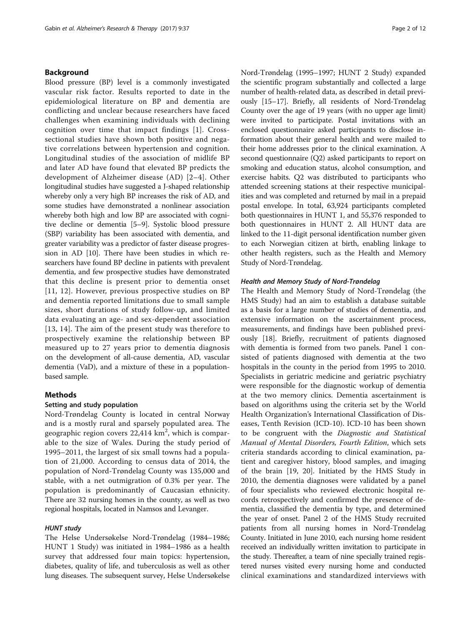# Background

Blood pressure (BP) level is a commonly investigated vascular risk factor. Results reported to date in the epidemiological literature on BP and dementia are conflicting and unclear because researchers have faced challenges when examining individuals with declining cognition over time that impact findings [[1](#page-10-0)]. Crosssectional studies have shown both positive and negative correlations between hypertension and cognition. Longitudinal studies of the association of midlife BP and later AD have found that elevated BP predicts the development of Alzheimer disease (AD) [\[2](#page-10-0)–[4\]](#page-10-0). Other longitudinal studies have suggested a J-shaped relationship whereby only a very high BP increases the risk of AD, and some studies have demonstrated a nonlinear association whereby both high and low BP are associated with cognitive decline or dementia [\[5](#page-10-0)–[9\]](#page-10-0). Systolic blood pressure (SBP) variability has been associated with dementia, and greater variability was a predictor of faster disease progression in AD [[10](#page-10-0)]. There have been studies in which researchers have found BP decline in patients with prevalent dementia, and few prospective studies have demonstrated that this decline is present prior to dementia onset [[11](#page-10-0), [12](#page-10-0)]. However, previous prospective studies on BP and dementia reported limitations due to small sample sizes, short durations of study follow-up, and limited data evaluating an age- and sex-dependent association [[13](#page-10-0), [14\]](#page-10-0). The aim of the present study was therefore to prospectively examine the relationship between BP measured up to 27 years prior to dementia diagnosis on the development of all-cause dementia, AD, vascular dementia (VaD), and a mixture of these in a populationbased sample.

#### Methods

## Setting and study population

Nord-Trøndelag County is located in central Norway and is a mostly rural and sparsely populated area. The geographic region covers 22,414 km<sup>2</sup>, which is comparable to the size of Wales. During the study period of 1995–2011, the largest of six small towns had a population of 21,000. According to census data of 2014, the population of Nord-Trøndelag County was 135,000 and stable, with a net outmigration of 0.3% per year. The population is predominantly of Caucasian ethnicity. There are 32 nursing homes in the county, as well as two regional hospitals, located in Namsos and Levanger.

# HUNT study

The Helse Undersøkelse Nord-Trøndelag (1984–1986; HUNT 1 Study) was initiated in 1984–1986 as a health survey that addressed four main topics: hypertension, diabetes, quality of life, and tuberculosis as well as other lung diseases. The subsequent survey, Helse Undersøkelse Nord-Trøndelag (1995–1997; HUNT 2 Study) expanded the scientific program substantially and collected a large number of health-related data, as described in detail previously [\[15](#page-10-0)–[17](#page-10-0)]. Briefly, all residents of Nord-Trøndelag County over the age of 19 years (with no upper age limit) were invited to participate. Postal invitations with an enclosed questionnaire asked participants to disclose information about their general health and were mailed to their home addresses prior to the clinical examination. A second questionnaire (Q2) asked participants to report on smoking and education status, alcohol consumption, and exercise habits. Q2 was distributed to participants who attended screening stations at their respective municipalities and was completed and returned by mail in a prepaid postal envelope. In total, 63,924 participants completed both questionnaires in HUNT 1, and 55,376 responded to both questionnaires in HUNT 2. All HUNT data are linked to the 11-digit personal identification number given to each Norwegian citizen at birth, enabling linkage to other health registers, such as the Health and Memory Study of Nord-Trøndelag.

#### Health and Memory Study of Nord-Trøndelag

The Health and Memory Study of Nord-Trøndelag (the HMS Study) had an aim to establish a database suitable as a basis for a large number of studies of dementia, and extensive information on the ascertainment process, measurements, and findings have been published previously [\[18\]](#page-10-0). Briefly, recruitment of patients diagnosed with dementia is formed from two panels. Panel 1 consisted of patients diagnosed with dementia at the two hospitals in the county in the period from 1995 to 2010. Specialists in geriatric medicine and geriatric psychiatry were responsible for the diagnostic workup of dementia at the two memory clinics. Dementia ascertainment is based on algorithms using the criteria set by the World Health Organization's International Classification of Diseases, Tenth Revision (ICD-10). ICD-10 has been shown to be congruent with the Diagnostic and Statistical Manual of Mental Disorders, Fourth Edition, which sets criteria standards according to clinical examination, patient and caregiver history, blood samples, and imaging of the brain [[19](#page-10-0), [20\]](#page-10-0). Initiated by the HMS Study in 2010, the dementia diagnoses were validated by a panel of four specialists who reviewed electronic hospital records retrospectively and confirmed the presence of dementia, classified the dementia by type, and determined the year of onset. Panel 2 of the HMS Study recruited patients from all nursing homes in Nord-Trøndelag County. Initiated in June 2010, each nursing home resident received an individually written invitation to participate in the study. Thereafter, a team of nine specially trained registered nurses visited every nursing home and conducted clinical examinations and standardized interviews with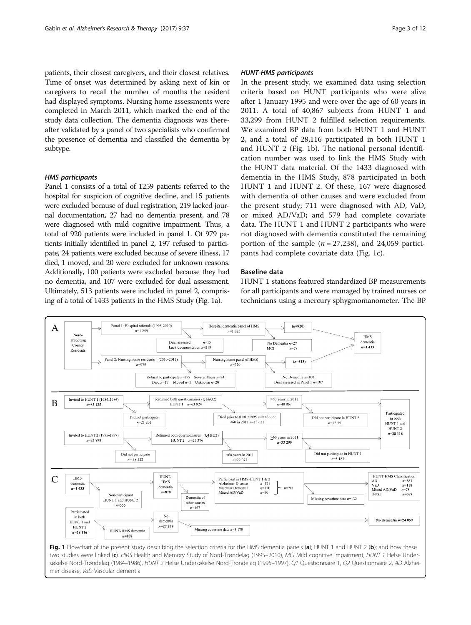patients, their closest caregivers, and their closest relatives. Time of onset was determined by asking next of kin or caregivers to recall the number of months the resident had displayed symptoms. Nursing home assessments were completed in March 2011, which marked the end of the study data collection. The dementia diagnosis was thereafter validated by a panel of two specialists who confirmed the presence of dementia and classified the dementia by subtype.

# HMS participants

Panel 1 consists of a total of 1259 patients referred to the hospital for suspicion of cognitive decline, and 15 patients were excluded because of dual registration, 219 lacked journal documentation, 27 had no dementia present, and 78 were diagnosed with mild cognitive impairment. Thus, a total of 920 patients were included in panel 1. Of 979 patients initially identified in panel 2, 197 refused to participate, 24 patients were excluded because of severe illness, 17 died, 1 moved, and 20 were excluded for unknown reasons. Additionally, 100 patients were excluded because they had no dementia, and 107 were excluded for dual assessment. Ultimately, 513 patients were included in panel 2, comprising of a total of 1433 patients in the HMS Study (Fig. 1a).

### HUNT-HMS participants

In the present study, we examined data using selection criteria based on HUNT participants who were alive after 1 January 1995 and were over the age of 60 years in 2011. A total of 40,867 subjects from HUNT 1 and 33,299 from HUNT 2 fulfilled selection requirements. We examined BP data from both HUNT 1 and HUNT 2, and a total of 28,116 participated in both HUNT 1 and HUNT 2 (Fig. 1b). The national personal identification number was used to link the HMS Study with the HUNT data material. Of the 1433 diagnosed with dementia in the HMS Study, 878 participated in both HUNT 1 and HUNT 2. Of these, 167 were diagnosed with dementia of other causes and were excluded from the present study; 711 were diagnosed with AD, VaD, or mixed AD/VaD; and 579 had complete covariate data. The HUNT 1 and HUNT 2 participants who were not diagnosed with dementia constituted the remaining portion of the sample  $(n = 27,238)$ , and 24,059 participants had complete covariate data (Fig. 1c).

# Baseline data

HUNT 1 stations featured standardized BP measurements for all participants and were managed by trained nurses or technicians using a mercury sphygmomanometer. The BP

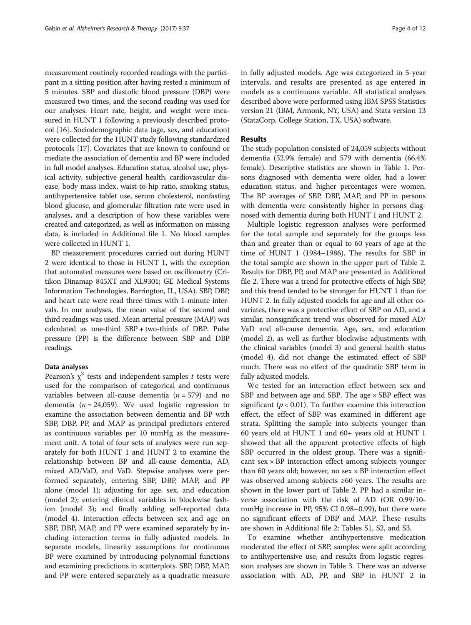measurement routinely recorded readings with the participant in a sitting position after having rested a minimum of 5 minutes. SBP and diastolic blood pressure (DBP) were measured two times, and the second reading was used for our analyses. Heart rate, height, and weight were measured in HUNT 1 following a previously described protocol [[16\]](#page-10-0). Sociodemographic data (age, sex, and education) were collected for the HUNT study following standardized protocols [\[17](#page-10-0)]. Covariates that are known to confound or mediate the association of dementia and BP were included in full model analyses. Education status, alcohol use, physical activity, subjective general health, cardiovascular disease, body mass index, waist-to-hip ratio, smoking status, antihypertensive tablet use, serum cholesterol, nonfasting blood glucose, and glomerular filtration rate were used in analyses, and a description of how these variables were created and categorized, as well as information on missing data, is included in Additional file [1.](#page-9-0) No blood samples were collected in HUNT 1.

BP measurement procedures carried out during HUNT 2 were identical to those in HUNT 1, with the exception that automated measures were based on oscillometry (Critikon Dinamap 845XT and XL9301; GE Medical Systems Information Technologies, Barrington, IL, USA). SBP, DBP, and heart rate were read three times with 1-minute intervals. In our analyses, the mean value of the second and third readings was used. Mean arterial pressure (MAP) was calculated as one-third SBP + two-thirds of DBP. Pulse pressure (PP) is the difference between SBP and DBP readings.

#### Data analyses

Pearson's  $\chi^2$  tests and independent-samples t tests were used for the comparison of categorical and continuous variables between all-cause dementia ( $n = 579$ ) and no dementia ( $n = 24,059$ ). We used logistic regression to examine the association between dementia and BP with SBP, DBP, PP, and MAP as principal predictors entered as continuous variables per 10 mmHg as the measurement unit. A total of four sets of analyses were run separately for both HUNT 1 and HUNT 2 to examine the relationship between BP and all-cause dementia, AD, mixed AD/VaD, and VaD. Stepwise analyses were performed separately, entering SBP, DBP, MAP, and PP alone (model 1); adjusting for age, sex, and education (model 2); entering clinical variables in blockwise fashion (model 3); and finally adding self-reported data (model 4). Interaction effects between sex and age on SBP, DBP, MAP, and PP were examined separately by including interaction terms in fully adjusted models. In separate models, linearity assumptions for continuous BP were examined by introducing polynomial functions and examining predictions in scatterplots. SBP, DBP, MAP, and PP were entered separately as a quadratic measure in fully adjusted models. Age was categorized in 5-year intervals, and results are presented as age entered in models as a continuous variable. All statistical analyses described above were performed using IBM SPSS Statistics version 21 (IBM, Armonk, NY, USA) and Stata version 13 (StataCorp, College Station, TX, USA) software.

### Results

The study population consisted of 24,059 subjects without dementia (52.9% female) and 579 with dementia (66.4% female). Descriptive statistics are shown in Table [1.](#page-4-0) Persons diagnosed with dementia were older, had a lower education status, and higher percentages were women. The BP averages of SBP, DBP, MAP, and PP in persons with dementia were consistently higher in persons diagnosed with dementia during both HUNT 1 and HUNT 2.

Multiple logistic regression analyses were performed for the total sample and separately for the groups less than and greater than or equal to 60 years of age at the time of HUNT 1 (1984–1986). The results for SBP in the total sample are shown in the upper part of Table [2](#page-6-0). Results for DBP, PP, and MAP are presented in Additional file [2](#page-9-0). There was a trend for protective effects of high SBP, and this trend tended to be stronger for HUNT 1 than for HUNT 2. In fully adjusted models for age and all other covariates, there was a protective effect of SBP on AD, and a similar, nonsignificant trend was observed for mixed AD/ VaD and all-cause dementia. Age, sex, and education (model 2), as well as further blockwise adjustments with the clinical variables (model 3) and general health status (model 4), did not change the estimated effect of SBP much. There was no effect of the quadratic SBP term in fully adjusted models.

We tested for an interaction effect between sex and SBP and between age and SBP. The age  $\times$  SBP effect was significant ( $p < 0.01$ ). To further examine this interaction effect, the effect of SBP was examined in different age strata. Splitting the sample into subjects younger than 60 years old at HUNT 1 and 60+ years old at HUNT 1 showed that all the apparent protective effects of high SBP occurred in the oldest group. There was a significant  $sex \times BP$  interaction effect among subjects younger than 60 years old; however, no  $sex \times BP$  interaction effect was observed among subjects ≥60 years. The results are shown in the lower part of Table [2.](#page-6-0) PP had a similar inverse association with the risk of AD (OR 0.99/10 mmHg increase in PP, 95% CI 0.98–0.99), but there were no significant effects of DBP and MAP. These results are shown in Additional file [2:](#page-9-0) Tables S1, S2, and S3.

To examine whether antihypertensive medication moderated the effect of SBP, samples were split according to antihypertensive use, and results from logistic regression analyses are shown in Table [3](#page-7-0). There was an adverse association with AD, PP, and SBP in HUNT 2 in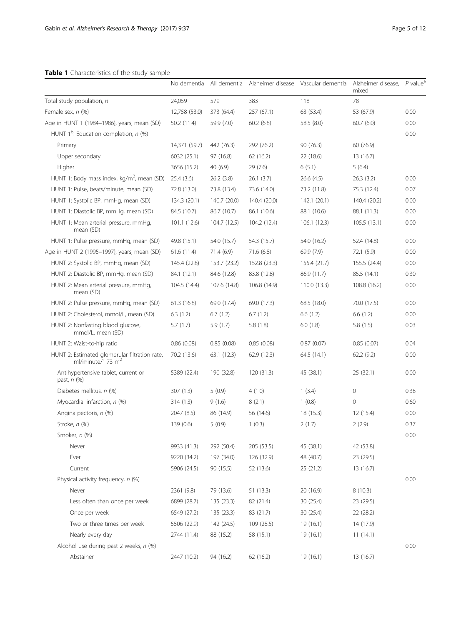# <span id="page-4-0"></span>Table 1 Characteristics of the study sample

|                                                                      | No dementia   | All dementia | Alzheimer disease | Vascular dementia | Alzheimer disease,<br>mixed | $P$ value <sup>a</sup> |
|----------------------------------------------------------------------|---------------|--------------|-------------------|-------------------|-----------------------------|------------------------|
| Total study population, n                                            | 24,059        | 579          | 383               | 118               | 78                          |                        |
| Female sex, n (%)                                                    | 12,758 (53.0) | 373 (64.4)   | 257 (67.1)        | 63 (53.4)         | 53 (67.9)                   | 0.00                   |
| Age in HUNT 1 (1984-1986), years, mean (SD)                          | 50.2(11.4)    | 59.9 (7.0)   | 60.2(6.8)         | 58.5 (8.0)        | 60.7(6.0)                   | 0.00                   |
| HUNT $1^b$ : Education completion, n (%)                             |               |              |                   |                   |                             | 0.00                   |
| Primary                                                              | 14,371 (59.7) | 442 (76.3)   | 292 (76.2)        | 90(76.3)          | 60 (76.9)                   |                        |
| Upper secondary                                                      | 6032 (25.1)   | 97 (16.8)    | 62 (16.2)         | 22 (18.6)         | 13 (16.7)                   |                        |
| Higher                                                               | 3656 (15.2)   | 40(6.9)      | 29 (7.6)          | 6(5.1)            | 5(6.4)                      |                        |
| HUNT 1: Body mass index, kg/m <sup>2</sup> , mean (SD)               | 25.4(3.6)     | 26.2(3.8)    | 26.1(3.7)         | 26.6 (4.5)        | 26.3(3.2)                   | 0.00                   |
| HUNT 1: Pulse, beats/minute, mean (SD)                               | 72.8 (13.0)   | 73.8 (13.4)  | 73.6 (14.0)       | 73.2 (11.8)       | 75.3 (12.4)                 | 0.07                   |
| HUNT 1: Systolic BP, mmHg, mean (SD)                                 | 134.3 (20.1)  | 140.7 (20.0) | 140.4 (20.0)      | 142.1 (20.1)      | 140.4 (20.2)                | 0.00                   |
| HUNT 1: Diastolic BP, mmHg, mean (SD)                                | 84.5 (10.7)   | 86.7 (10.7)  | 86.1 (10.6)       | 88.1 (10.6)       | 88.1 (11.3)                 | 0.00                   |
| HUNT 1: Mean arterial pressure, mmHg,<br>mean (SD)                   | 101.1 (12.6)  | 104.7 (12.5) | 104.2 (12.4)      | 106.1 (12.3)      | 105.5(13.1)                 | 0.00                   |
| HUNT 1: Pulse pressure, mmHg, mean (SD)                              | 49.8 (15.1)   | 54.0 (15.7)  | 54.3 (15.7)       | 54.0 (16.2)       | 52.4 (14.8)                 | 0.00                   |
| Age in HUNT 2 (1995-1997), years, mean (SD)                          | 61.6(11.4)    | 71.4(6.9)    | 71.6 (6.8)        | 69.9 (7.9)        | 72.1 (5.9)                  | 0.00                   |
| HUNT 2: Systolic BP, mmHg, mean (SD)                                 | 145.4 (22.8)  | 153.7 (23.2) | 152.8 (23.3)      | 155.4 (21.7)      | 155.5 (24.4)                | 0.00                   |
| HUNT 2: Diastolic BP, mmHg, mean (SD)                                | 84.1 (12.1)   | 84.6 (12.8)  | 83.8 (12.8)       | 86.9 (11.7)       | 85.5 (14.1)                 | 0.30                   |
| HUNT 2: Mean arterial pressure, mmHg,<br>mean (SD)                   | 104.5 (14.4)  | 107.6 (14.8) | 106.8 (14.9)      | 110.0(13.3)       | 108.8 (16.2)                | 0.00                   |
| HUNT 2: Pulse pressure, mmHg, mean (SD)                              | 61.3(16.8)    | 69.0 (17.4)  | 69.0 (17.3)       | 68.5 (18.0)       | 70.0 (17.5)                 | 0.00                   |
| HUNT 2: Cholesterol, mmol/L, mean (SD)                               | 6.3(1.2)      | 6.7(1.2)     | 6.7(1.2)          | 6.6(1.2)          | 6.6(1.2)                    | 0.00                   |
| HUNT 2: Nonfasting blood glucose,<br>mmol/L, mean (SD)               | 5.7(1.7)      | 5.9(1.7)     | 5.8(1.8)          | 6.0(1.8)          | 5.8(1.5)                    | 0.03                   |
| HUNT 2: Waist-to-hip ratio                                           | 0.86(0.08)    | 0.85(0.08)   | 0.85(0.08)        | 0.87(0.07)        | 0.85(0.07)                  | 0.04                   |
| HUNT 2: Estimated glomerular filtration rate,<br>ml/minute/1.73 $m2$ | 70.2 (13.6)   | 63.1 (12.3)  | 62.9 (12.3)       | 64.5 (14.1)       | 62.2 (9.2)                  | 0.00                   |
| Antihypertensive tablet, current or<br>past, n (%)                   | 5389 (22.4)   | 190 (32.8)   | 120(31.3)         | 45 (38.1)         | 25 (32.1)                   | 0.00                   |
| Diabetes mellitus, n (%)                                             | 307(1.3)      | 5(0.9)       | 4(1.0)            | 1(3.4)            | 0                           | 0.38                   |
| Myocardial infarction, n (%)                                         | 314(1.3)      | 9(1.6)       | 8(2.1)            | 1(0.8)            | 0                           | 0.60                   |
| Angina pectoris, n (%)                                               | 2047 (8.5)    | 86 (14.9)    | 56 (14.6)         | 18(15.3)          | 12 (15.4)                   | 0.00                   |
| Stroke, n (%)                                                        | 139 (0.6)     | 5(0.9)       | 1(0.3)            | 2(1.7)            | 2(2.9)                      | 0.37                   |
| Smoker, n (%)                                                        |               |              |                   |                   |                             | 0.00                   |
| Never                                                                | 9933 (41.3)   | 292 (50.4)   | 205 (53.5)        | 45 (38.1)         | 42 (53.8)                   |                        |
| Ever                                                                 | 9220 (34.2)   | 197 (34.0)   | 126 (32.9)        | 48 (40.7)         | 23 (29.5)                   |                        |
| Current                                                              | 5906 (24.5)   | 90 (15.5)    | 52 (13.6)         | 25(21.2)          | 13 (16.7)                   |                        |
| Physical activity frequency, n (%)                                   |               |              |                   |                   |                             | 0.00                   |
| Never                                                                | 2361 (9.8)    | 79 (13.6)    | 51(13.3)          | 20 (16.9)         | 8(10.3)                     |                        |
| Less often than once per week                                        | 6899 (28.7)   | 135 (23.3)   | 82 (21.4)         | 30 (25.4)         | 23 (29.5)                   |                        |
| Once per week                                                        | 6549 (27.2)   | 135 (23.3)   | 83 (21.7)         | 30(25.4)          | 22 (28.2)                   |                        |
| Two or three times per week                                          | 5506 (22.9)   | 142 (24.5)   | 109 (28.5)        | 19(16.1)          | 14 (17.9)                   |                        |
| Nearly every day                                                     | 2744 (11.4)   | 88 (15.2)    | 58 (15.1)         | 19(16.1)          | 11(14.1)                    |                        |
| Alcohol use during past 2 weeks, n (%)                               |               |              |                   |                   |                             | 0.00                   |
| Abstainer                                                            | 2447 (10.2)   | 94 (16.2)    | 62 (16.2)         | 19 (16.1)         | 13 (16.7)                   |                        |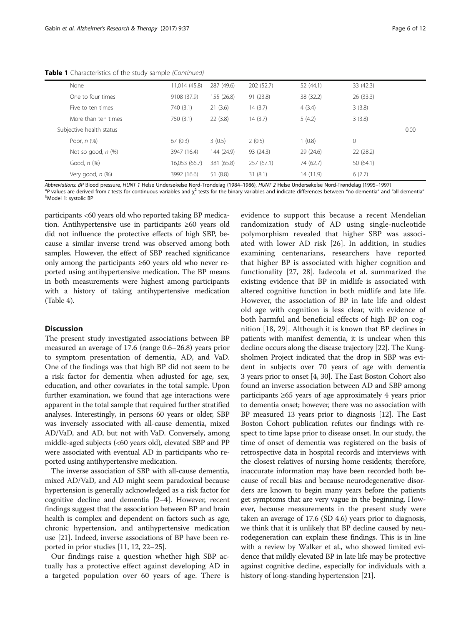Table 1 Characteristics of the study sample (Continued)

| None                     | 11,014 (45.8) | 287 (49.6) | 202(52.7) | 52 (44.1) | 33 (42.3) |      |
|--------------------------|---------------|------------|-----------|-----------|-----------|------|
| One to four times        | 9108 (37.9)   | 155 (26.8) | 91(23.8)  | 38 (32.2) | 26(33.3)  |      |
| Five to ten times        | 740 (3.1)     | 21(3.6)    | 14(3.7)   | 4(3.4)    | 3(3.8)    |      |
| More than ten times      | 750 (3.1)     | 22(3.8)    | 14 (3.7)  | 5(4.2)    | 3(3.8)    |      |
| Subjective health status |               |            |           |           |           | 0.00 |
| Poor, $n$ $(\%)$         | 67(0.3)       | 3(0.5)     | 2(0.5)    | 1(0.8)    | 0         |      |
| Not so good, $n$ $%$     | 3947 (16.4)   | 144 (24.9) | 93 (24.3) | 29(24.6)  | 22(28.2)  |      |
| Good, $n$ $(\%)$         | 16,053 (66.7) | 381 (65.8) | 257(67.1) | 74 (62.7) | 50 (64.1) |      |
| Very good, n (%)         | 3992 (16.6)   | 51 (8.8)   | 31(8.1)   | 14 (11.9) | 6(7.7)    |      |

Abbreviations: BP Blood pressure, HUNT 1 Helse Undersøkelse Nord-Trøndelag (1984–1986), HUNT 2 Helse Undersøkelse Nord-Trøndelag (1995–1997) <sup>a</sup>

P values are derived from t tests for continuous variables and  $\chi^2$  tests for the binary variables and indicate differences between "no dementia" and "all dementia" Model 1: systolic BP

participants <60 years old who reported taking BP medication. Antihypertensive use in participants ≥60 years old did not influence the protective effects of high SBP, because a similar inverse trend was observed among both samples. However, the effect of SBP reached significance only among the participants ≥60 years old who never reported using antihypertensive medication. The BP means in both measurements were highest among participants with a history of taking antihypertensive medication (Table [4\)](#page-8-0).

# **Discussion**

The present study investigated associations between BP measured an average of 17.6 (range 0.6–26.8) years prior to symptom presentation of dementia, AD, and VaD. One of the findings was that high BP did not seem to be a risk factor for dementia when adjusted for age, sex, education, and other covariates in the total sample. Upon further examination, we found that age interactions were apparent in the total sample that required further stratified analyses. Interestingly, in persons 60 years or older, SBP was inversely associated with all-cause dementia, mixed AD/VaD, and AD, but not with VaD. Conversely, among middle-aged subjects (<60 years old), elevated SBP and PP were associated with eventual AD in participants who reported using antihypertensive medication.

The inverse association of SBP with all-cause dementia, mixed AD/VaD, and AD might seem paradoxical because hypertension is generally acknowledged as a risk factor for cognitive decline and dementia [\[2](#page-10-0)–[4](#page-10-0)]. However, recent findings suggest that the association between BP and brain health is complex and dependent on factors such as age, chronic hypertension, and antihypertensive medication use [\[21](#page-10-0)]. Indeed, inverse associations of BP have been reported in prior studies [[11](#page-10-0), [12, 22](#page-10-0)–[25](#page-10-0)].

Our findings raise a question whether high SBP actually has a protective effect against developing AD in a targeted population over 60 years of age. There is

evidence to support this because a recent Mendelian randomization study of AD using single-nucleotide polymorphism revealed that higher SBP was associated with lower AD risk [[26\]](#page-10-0). In addition, in studies examining centenarians, researchers have reported that higher BP is associated with higher cognition and functionality [\[27, 28\]](#page-10-0). Iadecola et al. summarized the existing evidence that BP in midlife is associated with altered cognitive function in both midlife and late life. However, the association of BP in late life and oldest old age with cognition is less clear, with evidence of both harmful and beneficial effects of high BP on cognition [[18, 29](#page-10-0)]. Although it is known that BP declines in patients with manifest dementia, it is unclear when this decline occurs along the disease trajectory [[22](#page-10-0)]. The Kungsholmen Project indicated that the drop in SBP was evident in subjects over 70 years of age with dementia 3 years prior to onset [[4, 30](#page-10-0)]. The East Boston Cohort also found an inverse association between AD and SBP among participants ≥65 years of age approximately 4 years prior to dementia onset; however, there was no association with BP measured 13 years prior to diagnosis [\[12](#page-10-0)]. The East Boston Cohort publication refutes our findings with respect to time lapse prior to disease onset. In our study, the time of onset of dementia was registered on the basis of retrospective data in hospital records and interviews with the closest relatives of nursing home residents; therefore, inaccurate information may have been recorded both because of recall bias and because neurodegenerative disorders are known to begin many years before the patients get symptoms that are very vague in the beginning. However, because measurements in the present study were taken an average of 17.6 (SD 4.6) years prior to diagnosis, we think that it is unlikely that BP decline caused by neurodegeneration can explain these findings. This is in line with a review by Walker et al., who showed limited evidence that mildly elevated BP in late life may be protective against cognitive decline, especially for individuals with a history of long-standing hypertension [[21](#page-10-0)].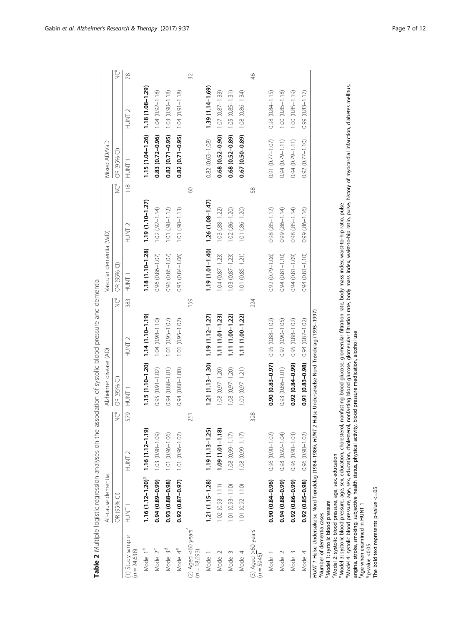<span id="page-6-0"></span>

|                                                                                                                                                                           | All-cause dementia                                                                                                                                                                                                                                                                                                                                                     |                     |          | Alzheimer disease (AD)                 |                                                                                                                                                                                                                                                                                                            |                | Vascular dementia (VaD) |                       |                  | Mixed AD/VaD                       |                        |               |
|---------------------------------------------------------------------------------------------------------------------------------------------------------------------------|------------------------------------------------------------------------------------------------------------------------------------------------------------------------------------------------------------------------------------------------------------------------------------------------------------------------------------------------------------------------|---------------------|----------|----------------------------------------|------------------------------------------------------------------------------------------------------------------------------------------------------------------------------------------------------------------------------------------------------------------------------------------------------------|----------------|-------------------------|-----------------------|------------------|------------------------------------|------------------------|---------------|
|                                                                                                                                                                           | OR (95% CI)                                                                                                                                                                                                                                                                                                                                                            |                     | <b>P</b> | OR (95% CI)                            |                                                                                                                                                                                                                                                                                                            | P <sub>a</sub> | OR (95% CI)             |                       | $\sum_{i=1}^{6}$ | OR (95% CI)                        |                        | ů             |
| (1) Study sample<br>$(n = 24,638)$                                                                                                                                        | HUNT <sub>1</sub>                                                                                                                                                                                                                                                                                                                                                      | <b>TNUT2</b>        | 579      | <b>TNUNT</b>                           | HUNT <sub>2</sub>                                                                                                                                                                                                                                                                                          | 383            | HUNT <sub>1</sub>       | HUNT <sub>2</sub>     | $\frac{8}{10}$   | T<br>NUNT<br>1                     | HUNT <sub>2</sub>      | 78            |
| Model 1 <sup>b</sup>                                                                                                                                                      | $1.16(1.12 - 1.20)$ <sup>9</sup>                                                                                                                                                                                                                                                                                                                                       | $1.16(1.12 - 1.19)$ |          | 1.15 (1.10-1.20)                       | $1.14(1.10 - 1.19)$                                                                                                                                                                                                                                                                                        |                | $1.18(1.10 - 1.28)$     | $1.19(1.10 - 1.27)$   |                  | $1.15(1.04-1.26)$ 1.18 (1.08-1.29) |                        |               |
| Model 2 <sup>c</sup>                                                                                                                                                      | 0.94 (0.89-0.99)                                                                                                                                                                                                                                                                                                                                                       | 1.03 (0.98-1.09)    |          | 0.95 (0.91-1.02)                       | $1.04(0.98 - 1.10)$                                                                                                                                                                                                                                                                                        |                | $0.96$ $(0.86 - 1.07)$  | $1.02(92 - 1.14)$     |                  | $0.83(0.72 - 0.96)$                | $1.04(0.92 - 1.18)$    |               |
| Model 3 <sup>d</sup>                                                                                                                                                      | $0.93(0.88 - 0.98)$                                                                                                                                                                                                                                                                                                                                                    | 1.01 (0.96-1.06)    |          | $0.94(0.88 - 1.01)$                    | 1.01 (0.95-1.07)                                                                                                                                                                                                                                                                                           |                | $0.96$ $(0.85 - 1.07)$  | $1.01(.90 - 1.12)$    |                  | $0.82(0.71 - 0.95)$                | $1.03(0.90 - 1.18)$    |               |
| Model 4 <sup>e</sup>                                                                                                                                                      | $(0.87 - 0.97)$                                                                                                                                                                                                                                                                                                                                                        | 1.01 (0.96-1.07)    |          | 0.94 (0.88-1.00)                       | 1.01 (0.95-1.07)                                                                                                                                                                                                                                                                                           |                | 0.95 (0.84-1.06)        | $1.01(90 - 1.13)$     |                  | $0.82(0.71 - 0.95)$                | $1.04(0.91 - 1.8)$     |               |
| (2) Aged <60 years <sup>1</sup><br>(n = 18,693)                                                                                                                           |                                                                                                                                                                                                                                                                                                                                                                        |                     | 251      |                                        |                                                                                                                                                                                                                                                                                                            | 159            |                         |                       | $\infty$         |                                    |                        | 32            |
| Model 1                                                                                                                                                                   | $1.21(1.15 - 1.28)$                                                                                                                                                                                                                                                                                                                                                    | $1.19(1.13 - 1.25)$ |          | 1.21 (1.13-1.30)                       | $1.19(1.12 - 1.27)$                                                                                                                                                                                                                                                                                        |                | 1.19 (1.01-1.40)        | $1.26(1.08 - 1.47)$   |                  | $0.82(0.63 - 1.08)$                | 1.39 (1.14-1.69)       |               |
| Model 2                                                                                                                                                                   | $1.02(0.93 - 1.11)$                                                                                                                                                                                                                                                                                                                                                    | $1.09(1.01 - 1.18)$ |          | 1.08 (0.97-1.20)                       | $1.11(1.01 - 1.23)$                                                                                                                                                                                                                                                                                        |                | $1.04(0.87 - 1.23)$     | $1.03$ $(.88 - 1.22)$ |                  | $0.68$ $(0.52 - 0.90)$             | $1.07(0.87 - 1.33)$    |               |
| Model 3                                                                                                                                                                   | $1.01 (0.93 - 1.10)$                                                                                                                                                                                                                                                                                                                                                   | $1.08(0.99 - 1.17)$ |          | $1.08(0.97 - 1.20)$                    | 1.11 (1.00-1.22)                                                                                                                                                                                                                                                                                           |                | $1.03(0.87 - 1.23)$     | 1.02 (.86-1.20)       |                  | $0.68(0.52 - 0.89)$                | $1.05(0.85 - 1.31)$    |               |
| Model 4                                                                                                                                                                   | $1.01 (0.92 - 1.10)$                                                                                                                                                                                                                                                                                                                                                   | $1.08(0.99 - 1.17)$ |          | 1.09 (0.97-1.21)                       | $1.11(1.00 - 1.22)$                                                                                                                                                                                                                                                                                        |                | 1.01 (0.85-1.21)        | 1.01 (.86-1.20)       |                  | $0.67(0.50 - 0.89)$                | $1.08(0.86 - 1.34)$    |               |
| (3) Aged $>$ 60 years <sup>t</sup><br>(n = 5945)                                                                                                                          |                                                                                                                                                                                                                                                                                                                                                                        |                     | 328      |                                        |                                                                                                                                                                                                                                                                                                            | 224            |                         |                       | 58               |                                    |                        | $\frac{4}{6}$ |
| Model 1                                                                                                                                                                   | $0.90(0.84 - 0.96)$                                                                                                                                                                                                                                                                                                                                                    | $0.96(0.90 - 1.02)$ |          | $(0.90)(0.83 - 0.97)$                  | 0.95 (0.88-1.02)                                                                                                                                                                                                                                                                                           |                | $0.92(0.79 - 1.06)$     | $0.98(.85 - 1.12)$    |                  | 0.91 (0.77-1.07)                   | $0.98$ $(0.84 - 1.15)$ |               |
| Model 2                                                                                                                                                                   | 0.94 (0.88-0.99)                                                                                                                                                                                                                                                                                                                                                       | $0.98(0.92 - 1.04)$ |          | $0.93(0.86 - 1.01)$                    | 0.97 (0.90-1.05)                                                                                                                                                                                                                                                                                           |                | $0.94(0.81 - 1.10)$     | 0.99 (.86-1.14)       |                  | $0.94(0.79 - 1.11)$                | $1.00 (0.85 - 1.18)$   |               |
| Model 3                                                                                                                                                                   | $(66 - 98.0)$ 26.0                                                                                                                                                                                                                                                                                                                                                     | $0.96(0.90 - 1.03)$ |          | 0.92 (0.84-0.99)                       | 0.95 (0.88-1.02)                                                                                                                                                                                                                                                                                           |                | $0.94(0.81 - 1.09)$     | $0.98$ $(85 - 1.14)$  |                  | $0.94(0.79 - 1.11)$                | $1.00(0.85 - 1.19)$    |               |
| Model 4                                                                                                                                                                   | $0.92(0.85 - 0.98)$                                                                                                                                                                                                                                                                                                                                                    | $0.96(0.90 - 1.02)$ |          | $0.91(0.83 - 0.98)$                    | $0.94(0.87 - 1.02)$                                                                                                                                                                                                                                                                                        |                | $0.94(0.81 - 1.10)$     | $0.99(.86 - 1.16)$    |                  | $0.92(0.77 - 1.10)$                | $0.99(0.83 - 1.17)$    |               |
| The bold text represents p-value <= 05<br>Model 1: systolic blood pressure<br>Age when examined in HUNT 1<br><sup>a</sup> Number of dementia cases<br>$p$ -value < $0.05$ | <sup>a</sup> Model 3: systolic blood pressure, age, sex, education, cholesterol,<br><sup>e</sup> Model 4: systolic blood pressure, age, sex, education, cholesterol,<br>HUNT 1 Helse Undersøkelse Nord-Trøndelag (1984-1986), HUNT 2<br>angina, stroke, smoking, subjective health status, physical activity,<br>Model 2: systolic blood pressure, age, sex, education |                     |          | blood pressure medication, alcohol use | nonfasting blood glucose, glomerular filtration rate, body mass index, waist-to-hip ratio, pulse, history of myocardial infarction, diabetes mellitus,<br>nonfasting blood glucose, glomerular filtration rate, body mass index, waist-to-hip ratio, pulse<br>Helse Undersøkelse Nord-Trøndelag (1995-1997 |                |                         |                       |                  |                                    |                        |               |

| Ó                                                       |
|---------------------------------------------------------|
| l                                                       |
|                                                         |
|                                                         |
|                                                         |
| $\frac{1}{2}$                                           |
| i                                                       |
| ¢<br>ì                                                  |
| ļ                                                       |
|                                                         |
|                                                         |
| $\frac{1}{2}$                                           |
|                                                         |
| ֧֧֖֖֖֚֚֚֚֚֚֚֚֝֬<br>֧֧֚֚֝<br>֧֖֖֚֚֚֚֚֚֚֚֚֚֚֚֚֚֝ <u>֚</u> |
|                                                         |
| ۱<br>په                                                 |
|                                                         |
| l                                                       |
|                                                         |
| l<br>í                                                  |
| $\ddot{\phantom{0}}$                                    |
|                                                         |
|                                                         |
|                                                         |
|                                                         |
|                                                         |
|                                                         |
|                                                         |
| in an abina an am th                                    |
| $\overline{\phantom{a}}$<br>ï                           |
|                                                         |
| ļ<br>i<br>١                                             |
|                                                         |
| l                                                       |
| ١                                                       |
|                                                         |
|                                                         |
| ļ                                                       |
|                                                         |
|                                                         |
| l                                                       |
| l                                                       |
| ¢<br>ä<br>ì<br>Í                                        |
| l                                                       |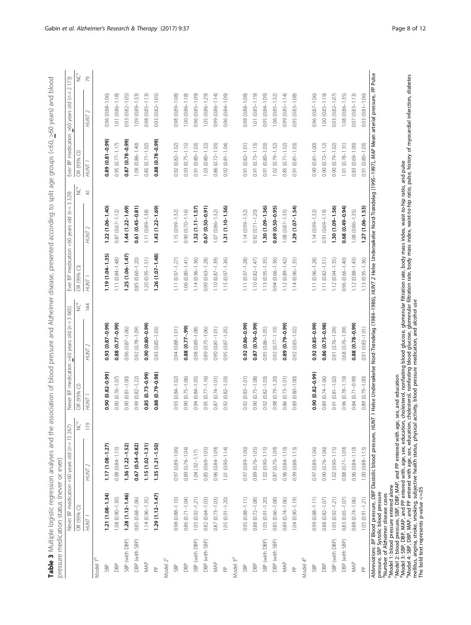<span id="page-7-0"></span>

| i<br>5<br>I<br>١                                 |                                   |
|--------------------------------------------------|-----------------------------------|
|                                                  |                                   |
| S<br>١<br>l                                      |                                   |
| i<br>١<br>ì<br>١<br>Ś                            |                                   |
| $\tilde{\zeta}$<br>j<br>1<br>ì                   |                                   |
| ו<br>איך ה<br>$\mathbf{I}$                       |                                   |
| )<br>C<br>$\frac{1}{2}$<br>J<br>ì                |                                   |
| j<br>ı<br>J<br>׆<br>ׇ֞                           |                                   |
| 5<br>l<br>١<br>ś<br>5                            |                                   |
| $\mathbf{r}$<br>j<br>5<br>$\overline{)}$         |                                   |
| ここ りこう<br>$\frac{1}{2}$                          |                                   |
| Ō<br>ミトト<br>J<br>J                               |                                   |
| ì<br>İ<br>5<br>$\mathbf{r}$                      |                                   |
| ì<br>ζ<br>5<br>l                                 |                                   |
| S<br>)<br>)<br>)<br>J<br>ī                       |                                   |
| $\mathfrak{g}$<br>₹<br>)<br>)<br>                |                                   |
| nta<br>1<br>g                                    |                                   |
| )<br>)<br>!<br>í<br>l<br>$\mathbf$<br>į          |                                   |
| n<br>Sc<br>j                                     |                                   |
| d<br>j<br>l<br>$\overline{a}$<br>j<br>$\epsilon$ |                                   |
| j<br>$\frac{1}{2}$<br>Ò<br>l<br>Ş                |                                   |
| Š<br>j<br>l                                      |                                   |
| į<br>トマト<br>ï                                    |                                   |
| S<br>ć<br>ś<br>٦                                 |                                   |
| d<br>j<br>Ξ                                      |                                   |
| 5<br>)<br>)<br>)<br>ï<br>d<br>í<br>į             |                                   |
| $\overline{\mathbf{S}}$<br>ž<br>ī                |                                   |
| )<br>)<br>$\overline{\mathbf{C}}$<br>Į           |                                   |
| $\sim$ $\sim$ $\sim$<br>$\overline{ }$           |                                   |
| į<br>)                                           |                                   |
| $\frac{1}{2}$<br>n<br>Du<br>ī                    |                                   |
| ç<br>j<br>j<br>í<br>ì<br>ī<br>j                  |                                   |
| .<br>J<br>d<br>l<br>j                            |                                   |
| ī<br>֚֬֕֓֡֡֡֡֡<br>l<br>i                         |                                   |
| d<br>j<br>İ<br>İ<br>l<br>ï<br>l                  |                                   |
| I<br>j<br>S                                      | ļ<br>¢<br>j<br>۱<br>j             |
| l<br>ł<br>I<br>١                                 |                                   |
| d<br>١<br>l<br>j<br>I<br>۱<br>J                  | l<br>j<br><b>:</b><br>i           |
| ś<br>j<br>j<br>I<br>J<br>۱                       | ı                                 |
| ١<br>I<br>j                                      | j<br>$\frac{1}{2}$<br>J<br>5      |
| j<br>١<br>l                                      | $\frac{1}{2}$<br>١<br>Ç<br>¢<br>J |
| I<br>J<br>ł<br>J                                 | j<br>j<br>J<br>C<br>ι<br>j        |
|                                                  | i<br>ׇ֚֕֕֡<br>$\mathbf$<br>j<br>Ì |
|                                                  | Ş<br>֦<br>l<br>1<br>J             |
| 1                                                | ì<br>۶<br>ľ<br>١<br>i<br>j        |
|                                                  | j<br>ś<br>I<br>ׇ֠                 |

|                      |                        | Never BP medication <60 years old (n = 15 267) |                  |                     | Never BP medication >60 years old (n = 3 665)                                                                                                                                                                                   |                        | Ever BP medication <60 years old $(n = 3 329)$ |                          |                     | Ever BP medication $>60$ years old ( $n = 2$ 173) |    |
|----------------------|------------------------|------------------------------------------------|------------------|---------------------|---------------------------------------------------------------------------------------------------------------------------------------------------------------------------------------------------------------------------------|------------------------|------------------------------------------------|--------------------------|---------------------|---------------------------------------------------|----|
|                      | OR (95% CI)            |                                                | $\sum_{i=1}^{6}$ | OR (95% CI)         | ůŠ                                                                                                                                                                                                                              | OR (95% CI)            |                                                | OR (95% CI)<br>ÿ         |                     |                                                   | ů  |
|                      | HUNT 1                 | HUNT <sub>2</sub>                              | $\frac{9}{10}$   | HUNT <sub>1</sub>   | 144<br>HUNT <sub>2</sub>                                                                                                                                                                                                        | HUNT <sub>1</sub>      | HUNT <sub>2</sub>                              | HUNT 1<br>$\overline{+}$ |                     | HUNT <sub>2</sub>                                 | 79 |
| Model                |                        |                                                |                  |                     |                                                                                                                                                                                                                                 |                        |                                                |                          |                     |                                                   |    |
| SBP                  | $1.21(1.08 - 1.34)$    | $1.17(1.08 - 1.27)$                            |                  | 0.90 (0.82-0.99)    | $(66.0 - 28.0)$ £6'0                                                                                                                                                                                                            | $1.19(1.04 - 1.35)$    | $1.22(1.06 - 1.40)$                            |                          | 0.89 (0.81-0.99)    | 0.96 (0.88-1.06)                                  |    |
| DBP                  | 1.08 (0.90-1.30)       | $0.98$ $(0.84 - 1.15)$                         |                  | 0.90 (0.76-1.07)    | 0.88 (0.77-0.99)                                                                                                                                                                                                                | $1.11(0.84 - 1.48)$    | 0.87 (0.67-1.12)                               |                          | $0.95(0.77 - 1.17)$ | 1.01 (0.86-1.18)                                  |    |
| SBP (with DBP)       | $1.28(1.12 - 1.46)$    | 1.36 (1.22-1.52)                               |                  | 0.90 (0.81-1.00)    | $0.96(0.87 - 1.06)$                                                                                                                                                                                                             | 1.25 (1.06-1.47)       | $1.44(1.22 - 1.69)$                            |                          | 0.87 (0.78-0.99)    | 0.93 (0.82-1.05)                                  |    |
| DBP (with SBP)       | $0.85(0.68 - 1.06)$    | 0.67 (0.54-0.82)                               |                  | 0.99 (0.82-1.22)    | $0.92(0.78 - 1.09)$                                                                                                                                                                                                             | $0.85(0.60 - 1.20)$    | 0.61 (0.45-0.81)                               |                          | 1.09 (0.86-1.40)    | 1.09 (0.89-1.33)                                  |    |
| MAP                  | $1.14(0.96 - 1.35)$    | $1.15(1.02 - 1.31)$                            |                  | 0.85 (0.73-0.99)    | 0.90 (0.80-0.99)                                                                                                                                                                                                                | $1.20(0.95 - 1.51)$    | 1.11 (0.89-1.38)                               |                          | $0.85(0.71 - 1.02)$ | $0.98(0.85 - 1.13)$                               |    |
| $\approx$            | $1.29(1.12 - 1.47)$    | $1.35(1.21 - 1.50)$                            |                  | 0.88 (0.79-0.98)    | $0.93(0.85 - 1.03)$                                                                                                                                                                                                             | $1.26(1.07 - 1.48)$    | $1.43(1.22 - 1.69)$                            |                          | $0.88(0.78-0.99)$   | $0.93$ $(0.82 - 1.05)$                            |    |
| Model 2 <sup>c</sup> |                        |                                                |                  |                     |                                                                                                                                                                                                                                 |                        |                                                |                          |                     |                                                   |    |
| SBP                  | 0.98 (0.88-1.10)       | 0.97 (0.89 - 1.06)                             |                  | 0.93 (0.84-1.02)    | $0.94(0.88 - 1.01)$                                                                                                                                                                                                             | $1.11 (0.97 - 1.27)$   | 1.15 (0.99-1.32)                               |                          | $0.92(0.82 - 1.02)$ | 0.98 (0.89-1.08)                                  |    |
| DBP                  | 0.86 (0.71-1.04)       | 0.89 (0.76-1.04)                               |                  | 0.90 (0.75-1.06)    | 0.88 (0.77-.99)                                                                                                                                                                                                                 | $1.06(0.80 - 1.41)$    | $0.90(0.70 - 1.16)$                            |                          | $0.93(0.75 - 1.15)$ | 1.00 (0.86-1.18)                                  |    |
| SBP (with DBP)       | $1.05(0.92 - 1.21)$    | $1.04(92 - 1.17)$                              |                  | 0.94 (0.84-1.05)    | 0.98 (0.89-1.08)                                                                                                                                                                                                                | $1.14(0.96 - 1.36)$    | $1.32(1.11 - 1.57)$                            |                          | 0.91 (0.80-1.03)    | 0.96 (0.85-1.09)                                  |    |
| DBP (with SBP)       | $0.82(0.64 - 1.03)$    | 0.85 (0.69-1.05)                               |                  | $0.95(0.77 - 1.16)$ | 0.89 (0.75-1.06)                                                                                                                                                                                                                | $0.90(0.63 - 1.28)$    | $0.67(0.50-0.91)$                              |                          | 1.03 (0.80-1.32)    | 1.05 (0.86-1.29)                                  |    |
| MAP                  | 0.87 (0.73-1.03)       | 0.96 (0.84-1.09)                               |                  | 0.87 (0.74-1.01)    | $0.90(0.81 - 1.01)$                                                                                                                                                                                                             | $1.10(0.87 - 1.39)$    | $1.07(0.86 - 1.32)$                            |                          | 0.86 (0.72-1.03)    | 0.99 (0.86-1.14)                                  |    |
| $\mathbb{a}$         | $1.05(0.91 - 1.20)$    | $1.01 (0.90 - 1.14)$                           |                  | 0.92 (0.82-1.03)    | $0.95(0.87 - 1.05)$                                                                                                                                                                                                             | $1.15(0.97 - 1.36)$    | $1.31(1.10 - 1.56)$                            |                          | $0.92(0.81 - 1.04)$ | 0.96 (0.84-1.09)                                  |    |
| Model 3 <sup>d</sup> |                        |                                                |                  |                     |                                                                                                                                                                                                                                 |                        |                                                |                          |                     |                                                   |    |
| SBP                  | $0.95(0.88 - 1.11)$    | 0.97 (0.89-1.06)                               |                  | $0.92(0.83 - 1.01)$ | $(66.0 - 98.0)$ Z6.0                                                                                                                                                                                                            | $1.11 (0.97 - 1.28)$   | 1.14 (0.99-1.32)                               |                          | 0.91 (0.82-1.01)    | 0.98 (0.88-1.08)                                  |    |
| DBP                  | 0.88 (0.72-1.08)       | 0.89 (0.76-1.05)                               |                  | 0.90 (0.75-1.08)    | 0.87 (0.76-0.99)                                                                                                                                                                                                                | $1.10(0.82 - 1.47)$    | $0.92(0.71 - 1.20)$                            |                          | $0.91(0.73 - 1.13)$ | 1.01 (0.85-1.19)                                  |    |
| SBP (with DBP)       | $1.05(0.91 - 1.20)$    | $1.02(0.90 - 1.15)$                            |                  | 0.92 (0.82-1.03)    | $0.95(0.86 - 1.05)$                                                                                                                                                                                                             | $1.13(0.95 - 1.35)$    | 1.30 (1.09-1.56)                               |                          | 0.91 (0.80-1.03)    | 0.95 (0.84-1.09)                                  |    |
| DBP (with SBP)       | 0.85 (0.66-1.08)       | 0.87 (0.70-1.09)                               |                  | 0.98 (0.79-1.20)    | $0.92(0.77 - 1.10)$                                                                                                                                                                                                             | $0.94(0.66 - 1.36)$    | $0.69(0.50-0.95)$                              |                          | $1.02(0.79 - 1.32)$ | 1.06 (0.85-1.32)                                  |    |
| MAP                  | 0.89 (0.74-1.06)       | 0.96 (0.84-1.10)                               |                  | $0.86(0.73 - 1.01)$ | 0.89 (0.79-0.99)                                                                                                                                                                                                                | $1.12(0.89 - 1.42)$    | $1.08(0.87 - 1.35)$                            |                          | $0.85(0.71 - 1.02)$ | 0.99 (0.85-1.14)                                  |    |
| $\approx$            | $1.04(0.90 - 1.19)$    | $0.99(0.88 - 1.13)$                            |                  | 0.89 (0.80-1.00)    | $0.92(0.83 - 1.02)$                                                                                                                                                                                                             | $1.14(0.96 - 1.35)$    | $1.29(1.07 - 1.54)$                            |                          | 0.91 (0.81-1.03)    | 0.95 (0.83-1.08)                                  |    |
| Model 4 <sup>e</sup> |                        |                                                |                  |                     |                                                                                                                                                                                                                                 |                        |                                                |                          |                     |                                                   |    |
| SBP                  | 0.99 (0.88-1.11)       | 0.97 (0.89 - 1.06)                             |                  | 0.90 (0.82-0.99)    | $(66.0 - 58.0)$ Z6'0                                                                                                                                                                                                            | $1.11 (0.96 - 1.28)$   | 1.14 (0.99-1.32)                               |                          | $0.90(0.81 - 1.00)$ | 0.96 (0.87-1.06)                                  |    |
| DBP                  | 0.88 (0.82-1.07)       | $0.90(0.76 - 1.06)$                            |                  | 0.89 (0.74-1.06)    | $0.86(0.75-0.98)$                                                                                                                                                                                                               | $1.11 (0.82 - 1.51)$   | 0.91 (0.69-1.19)                               |                          | $0.90(0.72 - 1.12)$ | 1.00 (0.85-1.19)                                  |    |
| SBP (with DBP)       | $1.05(0.92 - 1.21)$    | $1.02(0.90 - 1.15)$                            |                  | 0.91 (0.81-1.02)    | 0.91 (0.76-1.09)                                                                                                                                                                                                                | $1.12(0.94 - 1.35)$    | 1.30 (1.09-1.56)                               |                          | $0.90(0.79 - 1.02)$ | 0.93 (0.82-1.07)                                  |    |
| DBP (with SBP)       | $0.83$ $(0.65 - 1.07)$ | 0.88 (0.71-1.09)                               |                  | $0.96(0.78 - 1.19)$ | 0.68 (0.76-1.09)                                                                                                                                                                                                                | $0.96$ $(0.66 - 1.40)$ | $0.68(0.49 - 0.94)$                            |                          | $1.01(0.78 - 1.31)$ | 1.08 (0.86-1.35)                                  |    |
| MAP                  | 0.88 (0.74-1.06)       | 0.96 (0.84-1.10)                               |                  | 0.84 (0.71-0.99)    | $0.88(0.78-0.99)$                                                                                                                                                                                                               | $1.12(0.88 - 1.43)$    | 1.08 (0.86-1.35)                               |                          | 0.83 (0.69-1.00)    | $0.97(0.83 - 1.13)$                               |    |
| $\mathbb{A}$         | $1.05(0.91 - 1.21)$    | $1.00(0.88 - 1.13)$                            |                  | 0.89 (0.79-1.00)    | $0.91(0.83 - 1.01)$                                                                                                                                                                                                             | $1.13(0.95 - 1.36)$    | $1.27(1.06 - 1.53)$                            |                          | 0.91 (0.80-1.03)    | $0.93$ $(0.81 - 1.06)$                            |    |
|                      |                        |                                                |                  |                     | Abbreviations: BP Blood pressure, DBP Diastolic blood pressure, HUNT 1 Helse Undersola-1980, HOT 2 Helse Undersøkelse Nord-Trøndelag (1995–1997), MAP Mean arterial pressure, PP Pulse<br>pressure, SBP Systolic blood pressure |                        |                                                |                          |                     |                                                   |    |

aNumber of Alzheimer disease cases

bModel 1: blood pressure entered alone

'Model 2: blood pressure, SBP, DBP, MAP, and PP entered with age, sex, and education<br>"Model 3: SBP, DBP, MAP, and PP entered with, age, sex, education, cholesterol, nonfasting blood glucose, glomerular filtration rate, bod

"Number of Alzheimer disease cases<br>"Number of Alzheimer disease cases<br>"Model 3: SBP, DBP, MAP, and PP and PP entered with age, sex, and education<br>"Model 3: SBP, DBP, MAP, and PP entered with ,age, sex, education, cholester eModel 4: SBP, DBP, MAP, and PP entered with age, sex, education, cholesterol, nonfasting blood glucose, glomerular filtration rate, body mass index, waist-to-hip ratio, pulse, history of myocardial infarction, diabetes

mellitus, angina, stroke, smoking, subjective health status, physical activity, blood pressure medication, and alcohol use The bold text represents p-value  $\leq$ =.05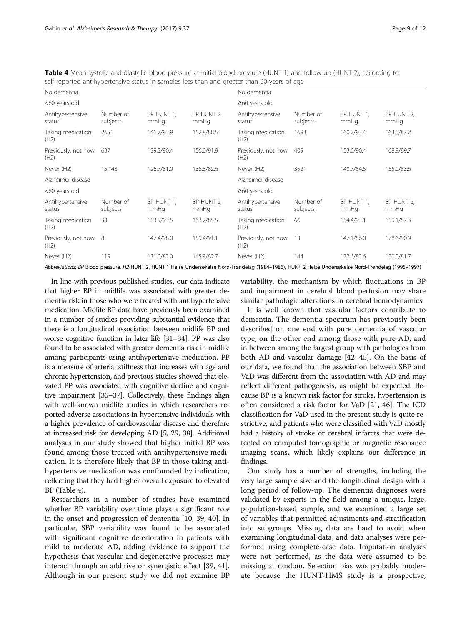| SCIFIC POLICULATION OF RELEASED TO A CHILD AND THE TIME OF A CHILD OF A CHILD OF A CHILD OF A CHILD OF A CHILD |                       |                    |                    |                             |                       |                    |                    |
|----------------------------------------------------------------------------------------------------------------|-----------------------|--------------------|--------------------|-----------------------------|-----------------------|--------------------|--------------------|
| No dementia                                                                                                    |                       |                    |                    | No dementia                 |                       |                    |                    |
| <60 years old                                                                                                  |                       |                    |                    | $\geq$ 60 years old         |                       |                    |                    |
| Antihypertensive<br>status                                                                                     | Number of<br>subjects | BP HUNT 1,<br>mmHq | BP HUNT 2.<br>mmHq | Antihypertensive<br>status  | Number of<br>subjects | BP HUNT 1.<br>mmHq | BP HUNT 2,<br>mmHq |
| Taking medication<br>(H2)                                                                                      | 2651                  | 146.7/93.9         | 152.8/88.5         | Taking medication<br>(H2)   | 1693                  | 160.2/93.4         | 163.5/87.2         |
| Previously, not now<br>(H2)                                                                                    | 637                   | 139.3/90.4         | 156.0/91.9         | Previously, not now<br>(H2) | 409                   | 153.6/90.4         | 168.9/89.7         |
| Never (H2)                                                                                                     | 15,148                | 126.7/81.0         | 138.8/82.6         | Never (H2)                  | 3521                  | 140.7/84.5         | 155.0/83.6         |
| Alzheimer disease                                                                                              |                       |                    |                    | Alzheimer disease           |                       |                    |                    |
| <60 years old                                                                                                  |                       |                    |                    | $\geq$ 60 years old         |                       |                    |                    |
| Antihypertensive<br>status                                                                                     | Number of<br>subjects | BP HUNT 1,<br>mmHq | BP HUNT 2,<br>mmHq | Antihypertensive<br>status  | Number of<br>subjects | BP HUNT 1,<br>mmHq | BP HUNT 2,<br>mmHq |
| Taking medication<br>(H2)                                                                                      | 33                    | 153.9/93.5         | 163.2/85.5         | Taking medication<br>(H2)   | 66                    | 154.4/93.1         | 159.1/87.3         |
| Previously, not now<br>(H2)                                                                                    | 8                     | 147.4/98.0         | 159.4/91.1         | Previously, not now<br>(H2) | 13                    | 147.1/86.0         | 178.6/90.9         |
| Never (H2)                                                                                                     | 119                   | 131.0/82.0         | 145.9/82.7         | Never (H2)                  | 144                   | 137.6/83.6         | 150.5/81.7         |

<span id="page-8-0"></span>Table 4 Mean systolic and diastolic blood pressure at initial blood pressure (HUNT 1) and follow-up (HUNT 2), according to self-reported antihypertensive status in samples less than and greater than 60 years of age

Abbreviations: BP Blood pressure, H2 HUNT 2, HUNT 1 Helse Undersøkelse Nord-Trøndelag (1984–1986), HUNT 2 Helse Undersøkelse Nord-Trøndelag (1995–1997)

In line with previous published studies, our data indicate that higher BP in midlife was associated with greater dementia risk in those who were treated with antihypertensive medication. Midlife BP data have previously been examined in a number of studies providing substantial evidence that there is a longitudinal association between midlife BP and worse cognitive function in later life [\[31](#page-10-0)–[34\]](#page-10-0). PP was also found to be associated with greater dementia risk in midlife among participants using antihypertensive medication. PP is a measure of arterial stiffness that increases with age and chronic hypertension, and previous studies showed that elevated PP was associated with cognitive decline and cognitive impairment [[35](#page-10-0)–[37](#page-10-0)]. Collectively, these findings align with well-known midlife studies in which researchers reported adverse associations in hypertensive individuals with a higher prevalence of cardiovascular disease and therefore at increased risk for developing AD [\[5, 29, 38\]](#page-10-0). Additional analyses in our study showed that higher initial BP was found among those treated with antihypertensive medication. It is therefore likely that BP in those taking antihypertensive medication was confounded by indication, reflecting that they had higher overall exposure to elevated BP (Table 4).

Researchers in a number of studies have examined whether BP variability over time plays a significant role in the onset and progression of dementia [\[10, 39](#page-10-0), [40](#page-10-0)]. In particular, SBP variability was found to be associated with significant cognitive deterioration in patients with mild to moderate AD, adding evidence to support the hypothesis that vascular and degenerative processes may interact through an additive or synergistic effect [\[39](#page-10-0), [41](#page-10-0)]. Although in our present study we did not examine BP variability, the mechanism by which fluctuations in BP and impairment in cerebral blood perfusion may share similar pathologic alterations in cerebral hemodynamics.

It is well known that vascular factors contribute to dementia. The dementia spectrum has previously been described on one end with pure dementia of vascular type, on the other end among those with pure AD, and in between among the largest group with pathologies from both AD and vascular damage [\[42](#page-10-0)–[45\]](#page-11-0). On the basis of our data, we found that the association between SBP and VaD was different from the association with AD and may reflect different pathogenesis, as might be expected. Because BP is a known risk factor for stroke, hypertension is often considered a risk factor for VaD [\[21,](#page-10-0) [46](#page-11-0)]. The ICD classification for VaD used in the present study is quite restrictive, and patients who were classified with VaD mostly had a history of stroke or cerebral infarcts that were detected on computed tomographic or magnetic resonance imaging scans, which likely explains our difference in findings.

Our study has a number of strengths, including the very large sample size and the longitudinal design with a long period of follow-up. The dementia diagnoses were validated by experts in the field among a unique, large, population-based sample, and we examined a large set of variables that permitted adjustments and stratification into subgroups. Missing data are hard to avoid when examining longitudinal data, and data analyses were performed using complete-case data. Imputation analyses were not performed, as the data were assumed to be missing at random. Selection bias was probably moderate because the HUNT-HMS study is a prospective,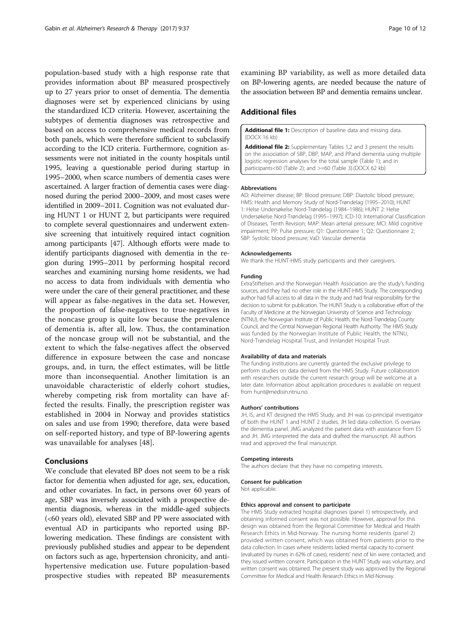<span id="page-9-0"></span>population-based study with a high response rate that provides information about BP measured prospectively up to 27 years prior to onset of dementia. The dementia diagnoses were set by experienced clinicians by using the standardized ICD criteria. However, ascertaining the subtypes of dementia diagnoses was retrospective and based on access to comprehensive medical records from both panels, which were therefore sufficient to subclassify according to the ICD criteria. Furthermore, cognition assessments were not initiated in the county hospitals until 1995, leaving a questionable period during startup in 1995–2000, when scarce numbers of dementia cases were ascertained. A larger fraction of dementia cases were diagnosed during the period 2000–2009, and most cases were identified in 2009–2011. Cognition was not evaluated during HUNT 1 or HUNT 2, but participants were required to complete several questionnaires and underwent extensive screening that intuitively required intact cognition among participants [[47](#page-11-0)]. Although efforts were made to identify participants diagnosed with dementia in the region during 1995–2011 by performing hospital record searches and examining nursing home residents, we had no access to data from individuals with dementia who were under the care of their general practitioner, and these will appear as false-negatives in the data set. However, the proportion of false-negatives to true-negatives in the noncase group is quite low because the prevalence of dementia is, after all, low. Thus, the contamination of the noncase group will not be substantial, and the extent to which the false-negatives affect the observed difference in exposure between the case and noncase groups, and, in turn, the effect estimates, will be little more than inconsequential. Another limitation is an unavoidable characteristic of elderly cohort studies, whereby competing risk from mortality can have affected the results. Finally, the prescription register was established in 2004 in Norway and provides statistics on sales and use from 1990; therefore, data were based on self-reported history, and type of BP-lowering agents was unavailable for analyses [[48\]](#page-11-0).

# Conclusions

We conclude that elevated BP does not seem to be a risk factor for dementia when adjusted for age, sex, education, and other covariates. In fact, in persons over 60 years of age, SBP was inversely associated with a prospective dementia diagnosis, whereas in the middle-aged subjects (<60 years old), elevated SBP and PP were associated with eventual AD in participants who reported using BPlowering medication. These findings are consistent with previously published studies and appear to be dependent on factors such as age, hypertension chronicity, and antihypertensive medication use. Future population-based prospective studies with repeated BP measurements

examining BP variability, as well as more detailed data on BP-lowering agents, are needed because the nature of the association between BP and dementia remains unclear.

# Additional files

[Additional file 1:](dx.doi.org/10.1186/s13195-017-0262-x) Description of baseline data and missing data. (DOCX 16 kb)

[Additional file 2:](dx.doi.org/10.1186/s13195-017-0262-x) Supplementary Tables 1,2 and 3 present the results on the association of SBP, DBP, MAP, and PPand dementia using multiple logistic regression analyses for the total sample (Table 1); and in participants<60 (Table [2](#page-6-0)); and >=60 (Table [3\)](#page-7-0).(DOCX 62 kb)

#### **Abbreviations**

AD: Alzheimer disease; BP: Blood pressure; DBP: Diastolic blood pressure; HMS: Health and Memory Study of Nord-Trøndelag (1995–2010); HUNT 1: Helse Undersøkelse Nord-Trøndelag (1984–1986); HUNT 2: Helse Undersøkelse Nord-Trøndelag (1995–1997); ICD-10: International Classification of Diseases, Tenth Revision; MAP: Mean arterial pressure; MCI: Mild cognitive impairment; PP: Pulse pressure; Q1: Questionnaire 1; Q2: Questionnaire 2; SBP: Systolic blood pressure; VaD: Vascular dementia

#### Acknowledgements

We thank the HUNT-HMS study participants and their caregivers.

#### Funding

ExtraStiftelsen and the Norwegian Health Association are the study's funding sources, and they had no other role in the HUNT-HMS Study. The corresponding author had full access to all data in the study and had final responsibility for the decision to submit for publication. The HUNT Study is a collaborative effort of the Faculty of Medicine at the Norwegian University of Science and Technology (NTNU), the Norwegian Institute of Public Health, the Nord-Trøndelag County Council, and the Central Norwegian Regional Health Authority. The HMS Study was funded by the Norwegian Institute of Public Health, the NTNU, Nord-Trøndelag Hospital Trust, and Innlandet Hospital Trust.

#### Availability of data and materials

The funding institutions are currently granted the exclusive privilege to perform studies on data derived from the HMS Study. Future collaboration with researchers outside the current research group will be welcome at a later date. Information about application procedures is available on request from hunt@medisin.ntnu.no.

#### Authors' contributions

JH, IS, and KT designed the HMS Study, and JH was co-principal investigator of both the HUNT 1 and HUNT 2 studies. JH led data collection. IS oversaw the dementia panel. JMG analyzed the patient data with assistance from ES and JH. JMG interpreted the data and drafted the manuscript. All authors read and approved the final manuscript.

#### Competing interests

The authors declare that they have no competing interests.

#### Consent for publication

Not applicable.

#### Ethics approval and consent to participate

The HMS Study extracted hospital diagnoses (panel 1) retrospectively, and obtaining informed consent was not possible. However, approval for this design was obtained from the Regional Committee for Medical and Health Research Ethics in Mid-Norway. The nursing home residents (panel 2) provided written consent, which was obtained from patients prior to the data collection. In cases where residents lacked mental capacity to consent (evaluated by nurses in 62% of cases), residents' next of kin were contacted, and they issued written consent. Participation in the HUNT Study was voluntary, and written consent was obtained. The present study was approved by the Regional Committee for Medical and Health Research Ethics in Mid-Norway.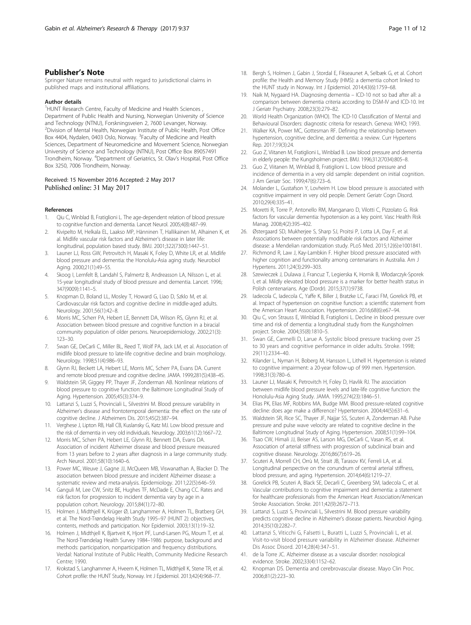# <span id="page-10-0"></span>Publisher's Note

Springer Nature remains neutral with regard to jurisdictional claims in published maps and institutional affiliations.

#### Author details

<sup>1</sup>HUNT Research Centre, Faculty of Medicine and Health Sciences, Department of Public Health and Nursing, Norwegian University of Science and Technology (NTNU), Forskningsveien 2, 7600 Levanger, Norway. 2 Division of Mental Health, Norwegian Institute of Public Health, Post Office Box 4404, Nydalen, 0403 Oslo, Norway. <sup>3</sup>Faculty of Medicine and Health Sciences, Department of Neuromedicine and Movement Science, Norwegian University of Science and Technology (NTNU), Post Office Box 89057491 Trondheim, Norway. <sup>4</sup>Department of Geriatrics, St. Olav's Hospital, Post Office Box 3250, 7006 Trondheim, Norway.

### Received: 15 November 2016 Accepted: 2 May 2017 Published online: 31 May 2017

#### References

- 1. Qiu C, Winblad B, Fratiglioni L. The age-dependent relation of blood pressure to cognitive function and dementia. Lancet Neurol. 2005;4(8):487–99.
- 2. Kivipelto M, Helkala EL, Laakso MP, Hänninen T, Hallikainen M, Alhainen K, et al. Midlife vascular risk factors and Alzheimer's disease in later life: longitudinal, population based study. BMJ. 2001;322(7300):1447–51.
- 3. Launer LJ, Ross GW, Petrovitch H, Masaki K, Foley D, White LR, et al. Midlife blood pressure and dementia: the Honolulu-Asia aging study. Neurobiol Aging. 2000;21(1):49–55.
- 4. Skoog I, Lernfelt B, Landahl S, Palmertz B, Andreasson LA, Nilsson L, et al. 15-year longitudinal study of blood pressure and dementia. Lancet. 1996; 347(9009):1141–5.
- Knopman D, Boland LL, Mosley T, Howard G, Liao D, Szklo M, et al. Cardiovascular risk factors and cognitive decline in middle-aged adults. Neurology. 2001;56(1):42–8.
- 6. Morris MC, Scherr PA, Hebert LE, Bennett DA, Wilson RS, Glynn RJ, et al. Association between blood pressure and cognitive function in a biracial community population of older persons. Neuroepidemiology. 2002;21(3): 123–30.
- 7. Swan GE, DeCarli C, Miller BL, Reed T, Wolf PA, Jack LM, et al. Association of midlife blood pressure to late-life cognitive decline and brain morphology. Neurology. 1998;51(4):986–93.
- 8. Glynn RJ, Beckett LA, Hebert LE, Morris MC, Scherr PA, Evans DA. Current and remote blood pressure and cognitive decline. JAMA. 1999;281(5):438–45.
- 9. Waldstein SR, Giggey PP, Thayer JF, Zonderman AB. Nonlinear relations of blood pressure to cognitive function: the Baltimore Longitudinal Study of Aging. Hypertension. 2005;45(3):374–9.
- 10. Lattanzi S, Luzzi S, Provinciali L, Silvestrini M. Blood pressure variability in Alzheimer's disease and frontotemporal dementia: the effect on the rate of cognitive decline. J Alzheimers Dis. 2015;45(2):387–94.
- 11. Verghese J, Lipton RB, Hall CB, Kuslansky G, Katz MJ. Low blood pressure and the risk of dementia in very old individuals. Neurology. 2003;61(12):1667–72.
- 12. Morris MC, Scherr PA, Hebert LE, Glynn RJ, Bennett DA, Evans DA. Association of incident Alzheimer disease and blood pressure measured from 13 years before to 2 years after diagnosis in a large community study. Arch Neurol. 2001;58(10):1640–6.
- 13. Power MC, Weuve J, Gagne JJ, McQueen MB, Viswanathan A, Blacker D. The association between blood pressure and incident Alzheimer disease: a systematic review and meta-analysis. Epidemiology. 2011;22(5):646–59.
- 14. Ganguli M, Lee CW, Snitz BE, Hughes TF, McDade E, Chang CC. Rates and risk factors for progression to incident dementia vary by age in a population cohort. Neurology. 2015;84(1):72–80.
- 15. Holmen J, Midthjell K, Krüger Ø, Langhammer A, Holmen TL, Bratberg GH, et al. The Nord-Trøndelag Health Study 1995–97 (HUNT 2): objectives, contents, methods and participation. Nor Epidemiol. 2003;13(1):19–32.
- 16. Holmen J, Midthjell K, Bjartveit K, Hjort PF, Lund-Larsen PG, Moum T, et al. The Nord-Trøndelag Health Survey 1984–1986: purpose, background and methods: participation, nonparticipation and frequency distributions. Verdal: National Institute of Public Health, Community Medicine Research Centre; 1990.
- 17. Krokstad S, Langhammer A, Hveem K, Holmen TL, Midthjell K, Stene TR, et al. Cohort profile: the HUNT Study, Norway. Int J Epidemiol. 2013;42(4):968–77.
- 18. Bergh S, Holmen J, Gabin J, Stordal E, Fikseaunet A, Selbæk G, et al. Cohort profile: the Health and Memory Study (HMS): a dementia cohort linked to the HUNT study in Norway. Int J Epidemiol. 2014;43(6):1759–68.
- 19. Naik M, Nygaard HA. Diagnosing dementia ICD-10 not so bad after all: a comparison between dementia criteria according to DSM-IV and ICD-10. Int J Geriatr Psychiatry. 2008;23(3):279–82.
- 20. World Health Organization (WHO). The ICD-10 Classification of Mental and Behavioural Disorders: diagnostic criteria for research. Geneva: WHO; 1993.
- 21. Walker KA, Power MC, Gottesman RF. Defining the relationship between hypertension, cognitive decline, and dementia: a review. Curr Hypertens Rep. 2017;19(3):24.
- 22. Guo Z, Viitanen M, Fratiglioni L, Winblad B, Low blood pressure and dementia in elderly people: the Kungsholmen project. BMJ. 1996;312(7034):805–8.
- 23. Guo Z, Viitanen M, Winblad B, Fratiglioni L. Low blood pressure and incidence of dementia in a very old sample: dependent on initial cognition. J Am Geriatr Soc. 1999;47(6):723–6.
- 24. Molander L, Gustafson Y, Lovheim H. Low blood pressure is associated with cognitive impairment in very old people. Dement Geriatr Cogn Disord. 2010;29(4):335–41.
- 25. Moretti R, Torre P, Antonello RM, Manganaro D, Vilotti C, Pizzolato G. Risk factors for vascular dementia: hypotension as a key point. Vasc Health Risk Manag. 2008;4(2):395–402.
- 26. Østergaard SD, Mukherjee S, Sharp SJ, Proitsi P, Lotta LA, Day F, et al. Associations between potentially modifiable risk factors and Alzheimer disease: a Mendelian randomization study. PLoS Med. 2015;12(6):e1001841.
- 27. Richmond R, Law J, Kay-Lambkin F. Higher blood pressure associated with higher cognition and functionality among centenarians in Australia. Am J Hypertens. 2011;24(3):299–303.
- 28. Szewieczek J, Dulawa J, Francuz T, Legierska K, Hornik B, Włodarczyk-Sporek I, et al. Mildly elevated blood pressure is a marker for better health status in Polish centenarians. Age (Dordr). 2015;37(1):9738.
- 29. Iadecola C, Iadecola C, Yaffe K, Biller J, Bratzke LC, Faraci FM, Gorelick PB, et al. Impact of hypertension on cognitive function: a scientific statement from the American Heart Association. Hypertension. 2016;68(6):e67–94.
- 30. Qiu C, von Strauss E, Winblad B, Fratiglioni L. Decline in blood pressure over time and risk of dementia: a longitudinal study from the Kungsholmen project. Stroke. 2004;35(8):1810–5.
- 31. Swan GE, Carmelli D, Larue A. Systolic blood pressure tracking over 25 to 30 years and cognitive performance in older adults. Stroke. 1998; 29(11):2334–40.
- 32. Kilander L, Nyman H, Boberg M, Hansson L, Lithell H. Hypertension is related to cognitive impairment: a 20-year follow-up of 999 men. Hypertension. 1998;31(3):780–6.
- 33. Launer LJ, Masaki K, Petrovitch H, Foley D, Havlik RJ. The association between midlife blood pressure levels and late-life cognitive function: the Honolulu-Asia Aging Study. JAMA. 1995;274(23):1846–51.
- 34. Elias PK, Elias MF, Robbins MA, Budge MM. Blood pressure-related cognitive decline: does age make a difference? Hypertension. 2004;44(5):631–6.
- 35. Waldstein SR, Rice SC, Thayer JF, Najjar SS, Scuteri A, Zonderman AB. Pulse pressure and pulse wave velocity are related to cognitive decline in the Baltimore Longitudinal Study of Aging. Hypertension. 2008;51(1):99–104.
- 36. Tsao CW, Himali JJ, Beiser AS, Larson MG, DeCarli C, Vasan RS, et al. Association of arterial stiffness with progression of subclinical brain and cognitive disease. Neurology. 2016;86(7):619–26.
- 37. Scuteri A, Morrell CH, Orrù M, Strait JB, Tarasov KV, Ferreli LA, et al. Longitudinal perspective on the conundrum of central arterial stiffness, blood pressure, and aging. Hypertension. 2014;64(6):1219–27.
- 38. Gorelick PB, Scuteri A, Black SE, Decarli C, Greenberg SM, Iadecola C, et al. Vascular contributions to cognitive impairment and dementia: a statement for healthcare professionals from the American Heart Association/American Stroke Association. Stroke. 2011;42(9):2672–713.
- 39. Lattanzi S, Luzzi S, Provinciali L, Silvestrini M. Blood pressure variability predicts cognitive decline in Alzheimer's disease patients. Neurobiol Aging. 2014;35(10):2282–7.
- 40. Lattanzi S, Viticchi G, Falsetti L, Buratti L, Luzzi S, Provinciali L, et al. Visit-to-visit blood pressure variability in Alzheimer disease. Alzheimer Dis Assoc Disord. 2014;28(4):347–51.
- 41. de la Torre JC. Alzheimer disease as a vascular disorder: nosological evidence. Stroke. 2002;33(4):1152–62.
- 42. Knopman DS. Dementia and cerebrovascular disease. Mayo Clin Proc. 2006;81(2):223–30.